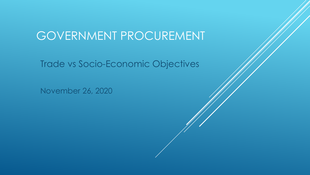# GOVERNMENT PROCUREMENT

Trade vs Socio-Economic Objectives

November 26, 2020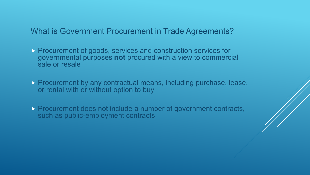What is Government Procurement in Trade Agreements?

- **Procurement of goods, services and construction services for** governmental purposes **not** procured with a view to commercial sale or resale
- **Procurement by any contractual means, including purchase, lease,** or rental with or without option to buy
- **Procurement does not include a number of government contracts,** such as public-employment contracts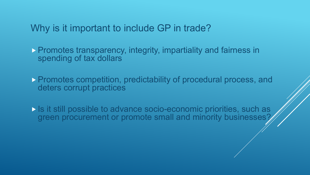Why is it important to include GP in trade?

**Promotes transparency, integrity, impartiality and fairness in** spending of tax dollars

 Promotes competition, predictability of procedural process, and deters corrupt practices

 Is it still possible to advance socio-economic priorities, such as green procurement or promote small and minority businesses?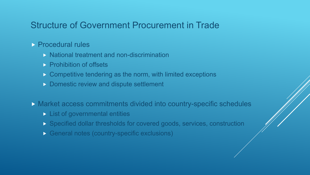## Structure of Government Procurement in Trade

#### **Procedural rules**

- $\triangleright$  National treatment and non-discrimination
- **Prohibition of offsets**
- **Competitive tendering as the norm, with limited exceptions**
- Domestic review and dispute settlement
- Market access commitments divided into country-specific schedules
	- **List of governmental entities**
	- Specified dollar thresholds for covered goods, services, construction
	- General notes (country-specific exclusions)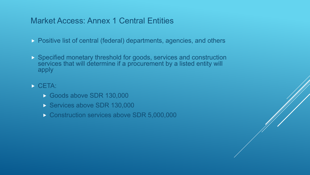## Market Access: Annex 1 Central Entities

- **Positive list of central (federal) departments, agencies, and others**
- Specified monetary threshold for goods, services and construction services that will determine if a procurement by a listed entity will apply
- $\triangleright$  CETA:
	- Goods above SDR 130,000
	- Services above SDR 130,000
	- Construction services above SDR 5,000,000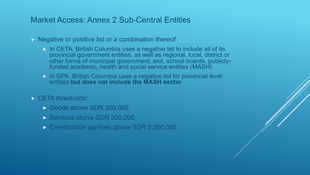### Market Access: Annex 2 Sub-Central Entities

 $\triangleright$  Negative or positive list or a combination thereof

- **In CETA, British Columbia uses a negative list to include all of its** provincial government entities, as well as regional, local, district or other forms of municipal government, and, school boards, publicly- funded academic, health and social service entities (MASH)
- In GPA, British Columbia uses a negative list for provincial level entities **but does not include the MASH sector**
- CETA thresholds:
	- Goods above SDR 200,000
	- Services above SDR 200,000
	- Construction services above SDR 5,000,000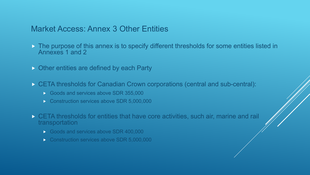#### Market Access: Annex 3 Other Entities

- The purpose of this annex is to specify different thresholds for some entities listed in Annexes 1 and 2
- **Other entities are defined by each Party**
- CETA thresholds for Canadian Crown corporations (central and sub-central):
	- Goods and services above SDR 355,000
	- Construction services above SDR 5,000,000
- CETA thresholds for entities that have core activities, such air, marine and rail transportation
	- Goods and services above SDR 400,000
	- Construction services above SDR 5,000,000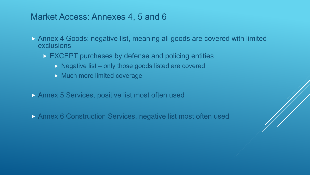## Market Access: Annexes 4, 5 and 6

- Annex 4 Goods: negative list, meaning all goods are covered with limited exclusions
	- EXCEPT purchases by defense and policing entities
		- $\triangleright$  Negative list only those goods listed are covered
		- **Much more limited coverage**
- **Annex 5 Services, positive list most often used**
- Annex 6 Construction Services, negative list most often used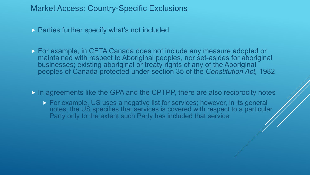#### Market Access: Country-Specific Exclusions

**Parties further specify what's not included** 

 For example, in CETA Canada does not include any measure adopted or maintained with respect to Aboriginal peoples, nor set-asides for aboriginal businesses; existing aboriginal or treaty rights of any of the Aboriginal peoples of Canada protected under section 35 of the *Constitution Act,* 1982

In agreements like the GPA and the CPTPP, there are also reciprocity notes

**For example, US uses a negative list for services; however, in its general** notes, the US specifies that services is covered with respect to a particular Party only to the extent such Party has included that service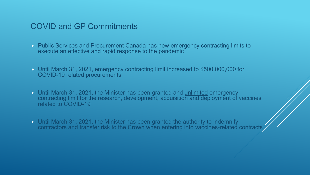#### COVID and GP Commitments

- **Public Services and Procurement Canada has new emergency contracting limits to** execute an effective and rapid response to the pandemic
- Until March 31, 2021, emergency contracting limit increased to \$500,000,000 for COVID-19 related procurements
- Until March 31, 2021, the Minister has been granted and unlimited emergency contracting limit for the research, development, acquisition and deployment of vaccines related to COVID-19
- Until March 31, 2021, the Minister has been granted the authority to indemnify contractors and transfer risk to the Crown when entering into vaccines-related contracts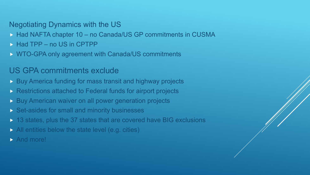#### Negotiating Dynamics with the US

- ▶ Had NAFTA chapter 10 no Canada/US GP commitments in CUSMA
- **Had TPP no US in CPTPP**
- ▶ WTO-GPA only agreement with Canada/US commitments

## US GPA commitments exclude

- **Buy America funding for mass transit and highway projects**
- **Restrictions attached to Federal funds for airport projects**
- **Buy American waiver on all power generation projects**
- Set-asides for small and minority businesses
- ▶ 13 states, plus the 37 states that are covered have BIG exclusions
- All entities below the state level (e.g. cities)
- And more!